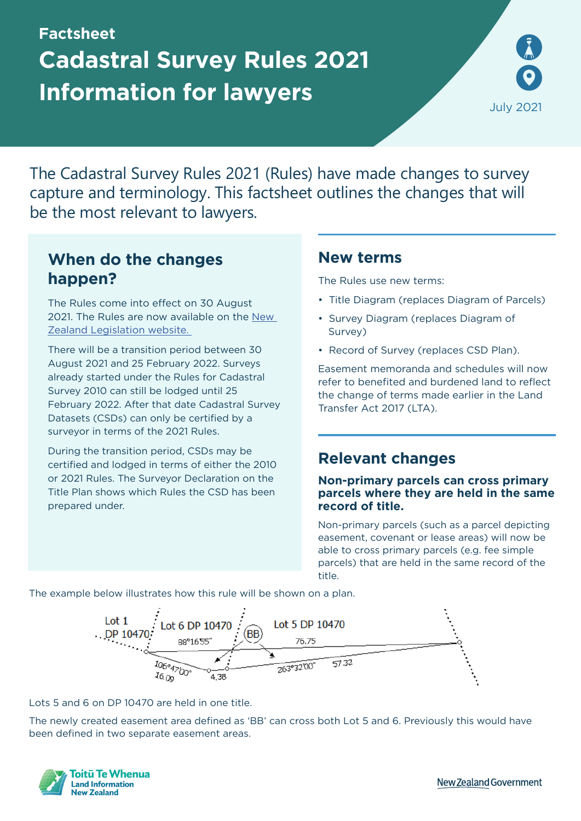# **Factsheet Cadastral Survey Rules 2021 Information for lawyers**



The Cadastral Survey Rules 2021 (Rules) have made changes to survey capture and terminology. This factsheet outlines the changes that will be the most relevant to lawyers.

# **When do the changes happen?**

The Rules come into effect on 30 August 2021. The Rules are now available on the [New](https://www.legislation.govt.nz/regulation/public/2021/0095/latest/LMS489320.html)  [Zealand Legislation website.](https://www.legislation.govt.nz/regulation/public/2021/0095/latest/LMS489320.html) 

There will be a transition period between 30 August 2021 and 25 February 2022. Surveys already started under the Rules for Cadastral Survey 2010 can still be lodged until 25 February 2022. After that date Cadastral Survey Datasets (CSDs) can only be certified by a surveyor in terms of the 2021 Rules.

During the transition period, CSDs may be certified and lodged in terms of either the 2010 or 2021 Rules. The Surveyor Declaration on the Title Plan shows which Rules the CSD has been prepared under.

### **New terms**

The Rules use new terms:

- Title Diagram (replaces Diagram of Parcels)
- Survey Diagram (replaces Diagram of Survey)
- Record of Survey (replaces CSD Plan).

Easement memoranda and schedules will now refer to benefited and burdened land to reflect the change of terms made earlier in the Land Transfer Act 2017 (LTA).

## **Relevant changes**

#### **Non-primary parcels can cross primary parcels where they are held in the same record of title.**

Non-primary parcels (such as a parcel depicting easement, covenant or lease areas) will now be able to cross primary parcels (e.g. fee simple parcels) that are held in the same record of the title.

The example below illustrates how this rule will be shown on a plan.



Lots 5 and 6 on DP 10470 are held in one title.

The newly created easement area defined as 'BB' can cross both Lot 5 and 6. Previously this would have been defined in two separate easement areas.



**New Zealand Government**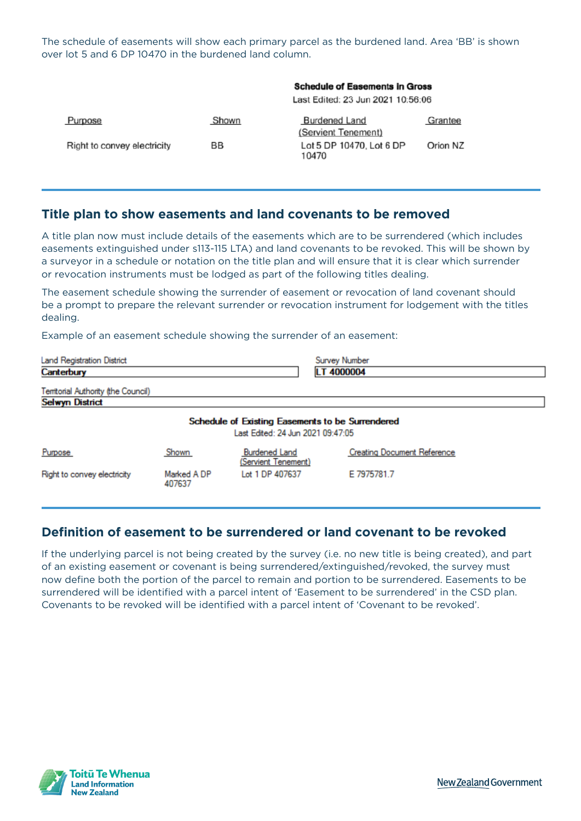The schedule of easements will show each primary parcel as the burdened land. Area 'BB' is shown over lot 5 and 6 DP 10470 in the burdened land column.

|                             | <b>Schedule of Easements in Gross</b><br>Last Edited: 23 Jun 2021 10:56:06 |                                             |          |
|-----------------------------|----------------------------------------------------------------------------|---------------------------------------------|----------|
| Purpose                     | Shown                                                                      | <b>Burdened Land</b><br>(Servient Tenement) | Grantee  |
| Right to convey electricity | BB                                                                         | Lot 5 DP 10470, Lot 6 DP<br>10470           | Orion NZ |

### **Title plan to show easements and land covenants to be removed**

A title plan now must include details of the easements which are to be surrendered (which includes easements extinguished under s113-115 LTA) and land covenants to be revoked. This will be shown by a surveyor in a schedule or notation on the title plan and will ensure that it is clear which surrender or revocation instruments must be lodged as part of the following titles dealing.

The easement schedule showing the surrender of easement or revocation of land covenant should be a prompt to prepare the relevant surrender or revocation instrument for lodgement with the titles dealing.

Example of an easement schedule showing the surrender of an easement:

| <b>Land Registration District</b>                                                     |                       |                                             | <b>Survey Number</b>               |  |  |  |
|---------------------------------------------------------------------------------------|-----------------------|---------------------------------------------|------------------------------------|--|--|--|
| Canterbury                                                                            |                       |                                             | LT 4000004                         |  |  |  |
| Territorial Authority (the Council)                                                   |                       |                                             |                                    |  |  |  |
| <b>Selwyn District</b>                                                                |                       |                                             |                                    |  |  |  |
| Schedule of Existing Easements to be Surrendered<br>Last Edited: 24 Jun 2021 09:47:05 |                       |                                             |                                    |  |  |  |
| Purpose                                                                               | Shown                 | <b>Burdened Land</b><br>(Servient Tenement) | <b>Creating Document Reference</b> |  |  |  |
| Right to convey electricity                                                           | Marked A DP<br>407637 | Lot 1 DP 407637                             | E 7975781.7                        |  |  |  |

### **Definition of easement to be surrendered or land covenant to be revoked**

If the underlying parcel is not being created by the survey (i.e. no new title is being created), and part of an existing easement or covenant is being surrendered/extinguished/revoked, the survey must now define both the portion of the parcel to remain and portion to be surrendered. Easements to be surrendered will be identified with a parcel intent of 'Easement to be surrendered' in the CSD plan. Covenants to be revoked will be identified with a parcel intent of 'Covenant to be revoked'.